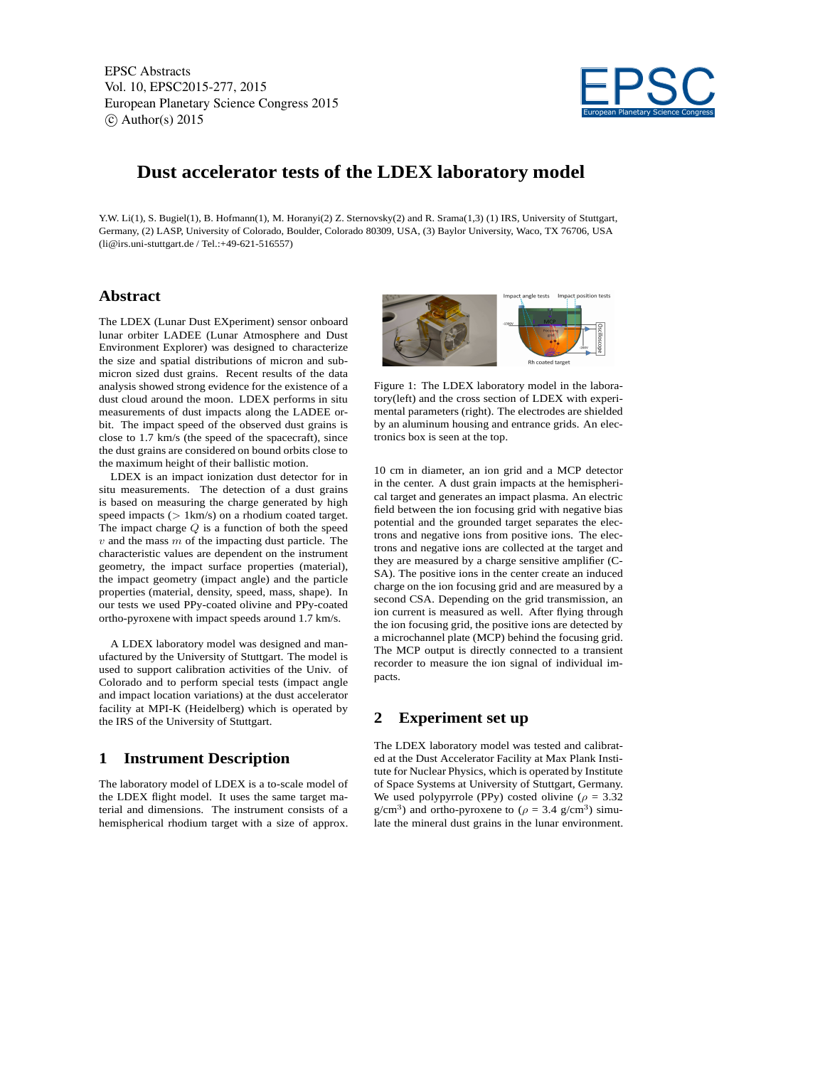EPSC Abstracts Vol. 10, EPSC2015-277, 2015 European Planetary Science Congress 2015  $\circ$  Author(s) 2015



# **Dust accelerator tests of the LDEX laboratory model**

Y.W. Li(1), S. Bugiel(1), B. Hofmann(1), M. Horanyi(2) Z. Sternovsky(2) and R. Srama(1,3) (1) IRS, University of Stuttgart, Germany, (2) LASP, University of Colorado, Boulder, Colorado 80309, USA, (3) Baylor University, Waco, TX 76706, USA (li@irs.uni-stuttgart.de / Tel.:+49-621-516557)

## **Abstract**

The LDEX (Lunar Dust EXperiment) sensor onboard lunar orbiter LADEE (Lunar Atmosphere and Dust Environment Explorer) was designed to characterize the size and spatial distributions of micron and submicron sized dust grains. Recent results of the data analysis showed strong evidence for the existence of a dust cloud around the moon. LDEX performs in situ measurements of dust impacts along the LADEE orbit. The impact speed of the observed dust grains is close to 1.7 km/s (the speed of the spacecraft), since the dust grains are considered on bound orbits close to the maximum height of their ballistic motion.

LDEX is an impact ionization dust detector for in situ measurements. The detection of a dust grains is based on measuring the charge generated by high speed impacts  $(1 \text{ km/s})$  on a rhodium coated target. The impact charge  $Q$  is a function of both the speed  $v$  and the mass  $m$  of the impacting dust particle. The characteristic values are dependent on the instrument geometry, the impact surface properties (material), the impact geometry (impact angle) and the particle properties (material, density, speed, mass, shape). In our tests we used PPy-coated olivine and PPy-coated ortho-pyroxene with impact speeds around 1.7 km/s.

A LDEX laboratory model was designed and manufactured by the University of Stuttgart. The model is used to support calibration activities of the Univ. of Colorado and to perform special tests (impact angle and impact location variations) at the dust accelerator facility at MPI-K (Heidelberg) which is operated by the IRS of the University of Stuttgart.

#### **1 Instrument Description**

The laboratory model of LDEX is a to-scale model of the LDEX flight model. It uses the same target material and dimensions. The instrument consists of a hemispherical rhodium target with a size of approx.



Figure 1: The LDEX laboratory model in the laboratory(left) and the cross section of LDEX with experimental parameters (right). The electrodes are shielded by an aluminum housing and entrance grids. An electronics box is seen at the top.

10 cm in diameter, an ion grid and a MCP detector in the center. A dust grain impacts at the hemispherical target and generates an impact plasma. An electric field between the ion focusing grid with negative bias potential and the grounded target separates the electrons and negative ions from positive ions. The electrons and negative ions are collected at the target and they are measured by a charge sensitive amplifier (C-SA). The positive ions in the center create an induced charge on the ion focusing grid and are measured by a second CSA. Depending on the grid transmission, an ion current is measured as well. After flying through the ion focusing grid, the positive ions are detected by a microchannel plate (MCP) behind the focusing grid. The MCP output is directly connected to a transient recorder to measure the ion signal of individual impacts.

### **2 Experiment set up**

The LDEX laboratory model was tested and calibrated at the Dust Accelerator Facility at Max Plank Institute for Nuclear Physics, which is operated by Institute of Space Systems at University of Stuttgart, Germany. We used polypyrrole (PPy) costed olivine ( $\rho = 3.32$  $g/cm<sup>3</sup>$ ) and ortho-pyroxene to ( $\rho = 3.4$  g/cm<sup>3</sup>) simulate the mineral dust grains in the lunar environment.